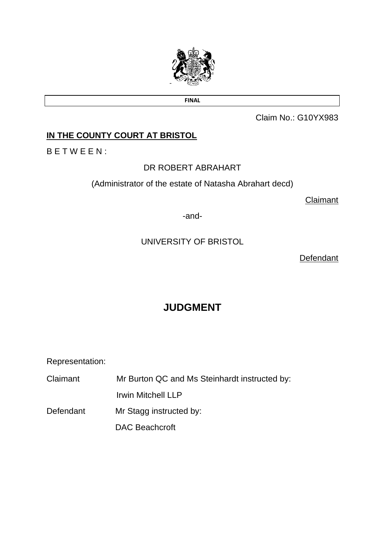

**FINAL**

Claim No.: G10YX983

# **IN THE COUNTY COURT AT BRISTOL**

B E T W E E N :

## DR ROBERT ABRAHART

(Administrator of the estate of Natasha Abrahart decd)

Claimant

-and-

# UNIVERSITY OF BRISTOL

**Defendant** 

# **JUDGMENT**

Representation:

Claimant Mr Burton QC and Ms Steinhardt instructed by:

Irwin Mitchell LLP

Defendant Mr Stagg instructed by:

DAC Beachcroft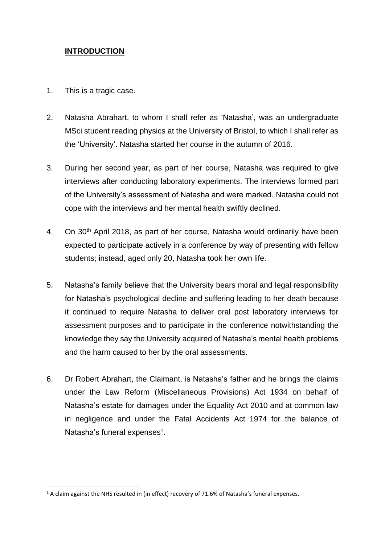## **INTRODUCTION**

- 1. This is a tragic case.
- 2. Natasha Abrahart, to whom I shall refer as 'Natasha', was an undergraduate MSci student reading physics at the University of Bristol, to which I shall refer as the 'University'. Natasha started her course in the autumn of 2016.
- 3. During her second year, as part of her course, Natasha was required to give interviews after conducting laboratory experiments. The interviews formed part of the University's assessment of Natasha and were marked. Natasha could not cope with the interviews and her mental health swiftly declined.
- 4. On 30<sup>th</sup> April 2018, as part of her course, Natasha would ordinarily have been expected to participate actively in a conference by way of presenting with fellow students; instead, aged only 20, Natasha took her own life.
- 5. Natasha's family believe that the University bears moral and legal responsibility for Natasha's psychological decline and suffering leading to her death because it continued to require Natasha to deliver oral post laboratory interviews for assessment purposes and to participate in the conference notwithstanding the knowledge they say the University acquired of Natasha's mental health problems and the harm caused to her by the oral assessments.
- 6. Dr Robert Abrahart, the Claimant, is Natasha's father and he brings the claims under the Law Reform (Miscellaneous Provisions) Act 1934 on behalf of Natasha's estate for damages under the Equality Act 2010 and at common law in negligence and under the Fatal Accidents Act 1974 for the balance of Natasha's funeral expenses<sup>1</sup>.

 $1$  A claim against the NHS resulted in (in effect) recovery of 71.6% of Natasha's funeral expenses.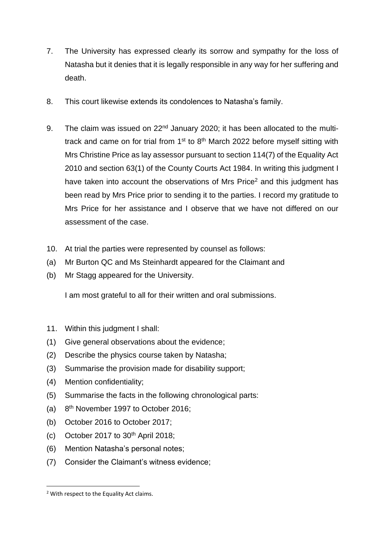- 7. The University has expressed clearly its sorrow and sympathy for the loss of Natasha but it denies that it is legally responsible in any way for her suffering and death.
- 8. This court likewise extends its condolences to Natasha's family.
- 9. The claim was issued on 22<sup>nd</sup> January 2020; it has been allocated to the multitrack and came on for trial from  $1<sup>st</sup>$  to  $8<sup>th</sup>$  March 2022 before myself sitting with Mrs Christine Price as lay assessor pursuant to section 114(7) of the Equality Act 2010 and section 63(1) of the County Courts Act 1984. In writing this judgment I have taken into account the observations of Mrs Price<sup>2</sup> and this judgment has been read by Mrs Price prior to sending it to the parties. I record my gratitude to Mrs Price for her assistance and I observe that we have not differed on our assessment of the case.
- 10. At trial the parties were represented by counsel as follows:
- (a) Mr Burton QC and Ms Steinhardt appeared for the Claimant and
- (b) Mr Stagg appeared for the University.

I am most grateful to all for their written and oral submissions.

- 11. Within this judgment I shall:
- (1) Give general observations about the evidence;
- (2) Describe the physics course taken by Natasha;
- (3) Summarise the provision made for disability support;
- (4) Mention confidentiality;
- (5) Summarise the facts in the following chronological parts:
- $(a)$ 8<sup>th</sup> November 1997 to October 2016:
- (b) October 2016 to October 2017;
- (c) October 2017 to  $30<sup>th</sup>$  April 2018;
- (6) Mention Natasha's personal notes;
- (7) Consider the Claimant's witness evidence;

<sup>2</sup> With respect to the Equality Act claims.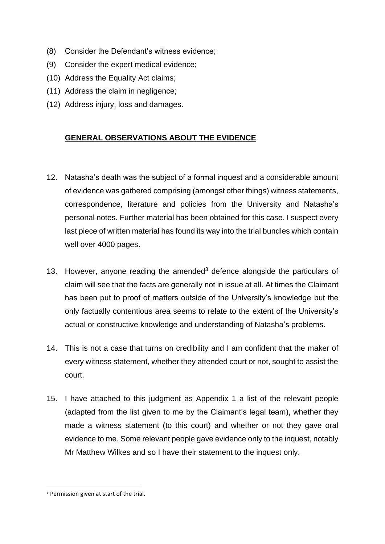- (8) Consider the Defendant's witness evidence;
- (9) Consider the expert medical evidence;
- (10) Address the Equality Act claims;
- (11) Address the claim in negligence;
- (12) Address injury, loss and damages.

## **GENERAL OBSERVATIONS ABOUT THE EVIDENCE**

- 12. Natasha's death was the subject of a formal inquest and a considerable amount of evidence was gathered comprising (amongst other things) witness statements, correspondence, literature and policies from the University and Natasha's personal notes. Further material has been obtained for this case. I suspect every last piece of written material has found its way into the trial bundles which contain well over 4000 pages.
- 13. However, anyone reading the amended<sup>3</sup> defence alongside the particulars of claim will see that the facts are generally not in issue at all. At times the Claimant has been put to proof of matters outside of the University's knowledge but the only factually contentious area seems to relate to the extent of the University's actual or constructive knowledge and understanding of Natasha's problems.
- 14. This is not a case that turns on credibility and I am confident that the maker of every witness statement, whether they attended court or not, sought to assist the court.
- 15. I have attached to this judgment as Appendix 1 a list of the relevant people (adapted from the list given to me by the Claimant's legal team), whether they made a witness statement (to this court) and whether or not they gave oral evidence to me. Some relevant people gave evidence only to the inquest, notably Mr Matthew Wilkes and so I have their statement to the inquest only.

<sup>&</sup>lt;sup>3</sup> Permission given at start of the trial.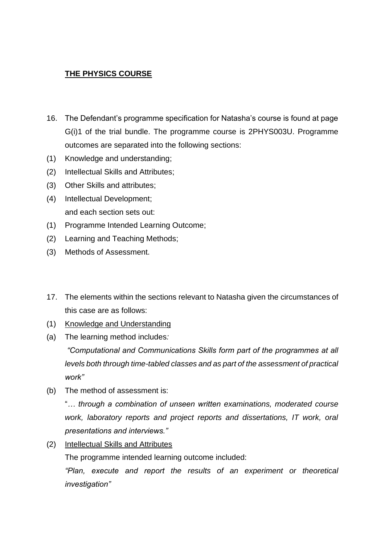## **THE PHYSICS COURSE**

- 16. The Defendant's programme specification for Natasha's course is found at page G(i)1 of the trial bundle. The programme course is 2PHYS003U. Programme outcomes are separated into the following sections:
- (1) Knowledge and understanding;
- (2) Intellectual Skills and Attributes;
- (3) Other Skills and attributes;
- (4) Intellectual Development; and each section sets out:
- (1) Programme Intended Learning Outcome;
- (2) Learning and Teaching Methods;
- (3) Methods of Assessment.
- 17. The elements within the sections relevant to Natasha given the circumstances of this case are as follows:
- (1) Knowledge and Understanding
- (a) The learning method includes*:*

*"Computational and Communications Skills form part of the programmes at all levels both through time-tabled classes and as part of the assessment of practical work"*

(b) The method of assessment is:

"*… through a combination of unseen written examinations, moderated course*  work, laboratory reports and project reports and dissertations, IT work, oral *presentations and interviews."*

(2) Intellectual Skills and Attributes

The programme intended learning outcome included:

*"Plan, execute and report the results of an experiment or theoretical investigation"*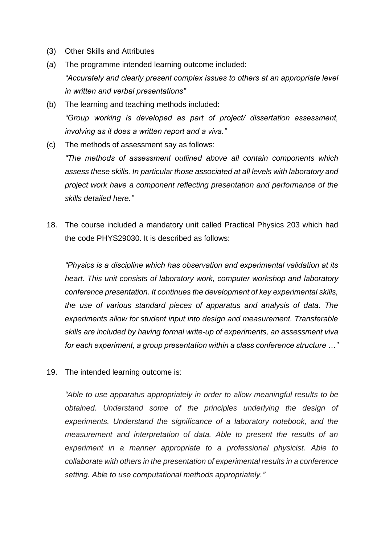- (3) Other Skills and Attributes
- (a) The programme intended learning outcome included: *"Accurately and clearly present complex issues to others at an appropriate level in written and verbal presentations"*
- (b) The learning and teaching methods included: *"Group working is developed as part of project/ dissertation assessment, involving as it does a written report and a viva."*
- (c) The methods of assessment say as follows:

*"The methods of assessment outlined above all contain components which assess these skills. In particular those associated at all levels with laboratory and project work have a component reflecting presentation and performance of the skills detailed here."*

18. The course included a mandatory unit called Practical Physics 203 which had the code PHYS29030. It is described as follows:

*"Physics is a discipline which has observation and experimental validation at its heart. This unit consists of laboratory work, computer workshop and laboratory conference presentation. It continues the development of key experimental skills, the use of various standard pieces of apparatus and analysis of data. The experiments allow for student input into design and measurement. Transferable skills are included by having formal write-up of experiments, an assessment viva for each experiment, a group presentation within a class conference structure …"*

19. The intended learning outcome is:

*"Able to use apparatus appropriately in order to allow meaningful results to be obtained. Understand some of the principles underlying the design of experiments. Understand the significance of a laboratory notebook, and the measurement and interpretation of data. Able to present the results of an experiment in a manner appropriate to a professional physicist. Able to collaborate with others in the presentation of experimental results in a conference setting. Able to use computational methods appropriately."*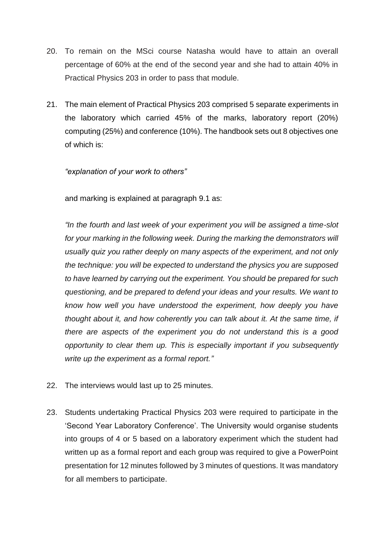- 20. To remain on the MSci course Natasha would have to attain an overall percentage of 60% at the end of the second year and she had to attain 40% in Practical Physics 203 in order to pass that module.
- 21. The main element of Practical Physics 203 comprised 5 separate experiments in the laboratory which carried 45% of the marks, laboratory report (20%) computing (25%) and conference (10%). The handbook sets out 8 objectives one of which is:

*"explanation of your work to others"*

and marking is explained at paragraph 9.1 as:

*"In the fourth and last week of your experiment you will be assigned a time-slot for your marking in the following week. During the marking the demonstrators will usually quiz you rather deeply on many aspects of the experiment, and not only the technique: you will be expected to understand the physics you are supposed to have learned by carrying out the experiment. You should be prepared for such questioning, and be prepared to defend your ideas and your results. We want to know how well you have understood the experiment, how deeply you have thought about it, and how coherently you can talk about it. At the same time, if there are aspects of the experiment you do not understand this is a good opportunity to clear them up. This is especially important if you subsequently write up the experiment as a formal report."*

- 22. The interviews would last up to 25 minutes.
- 23. Students undertaking Practical Physics 203 were required to participate in the 'Second Year Laboratory Conference'. The University would organise students into groups of 4 or 5 based on a laboratory experiment which the student had written up as a formal report and each group was required to give a PowerPoint presentation for 12 minutes followed by 3 minutes of questions. It was mandatory for all members to participate.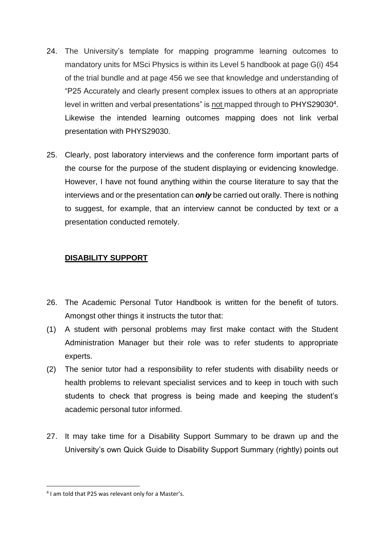- 24. The University's template for mapping programme learning outcomes to mandatory units for MSci Physics is within its Level 5 handbook at page G(i) 454 of the trial bundle and at page 456 we see that knowledge and understanding of "P25 Accurately and clearly present complex issues to others at an appropriate level in written and verbal presentations" is not mapped through to PHYS29030<sup>4</sup>. Likewise the intended learning outcomes mapping does not link verbal presentation with PHYS29030.
- 25. Clearly, post laboratory interviews and the conference form important parts of the course for the purpose of the student displaying or evidencing knowledge. However, I have not found anything within the course literature to say that the interviews and or the presentation can *only* be carried out orally. There is nothing to suggest, for example, that an interview cannot be conducted by text or a presentation conducted remotely.

## **DISABILITY SUPPORT**

- 26. The Academic Personal Tutor Handbook is written for the benefit of tutors. Amongst other things it instructs the tutor that:
- (1) A student with personal problems may first make contact with the Student Administration Manager but their role was to refer students to appropriate experts.
- (2) The senior tutor had a responsibility to refer students with disability needs or health problems to relevant specialist services and to keep in touch with such students to check that progress is being made and keeping the student's academic personal tutor informed.
- 27. It may take time for a Disability Support Summary to be drawn up and the University's own Quick Guide to Disability Support Summary (rightly) points out

<sup>&</sup>lt;sup>4</sup> I am told that P25 was relevant only for a Master's.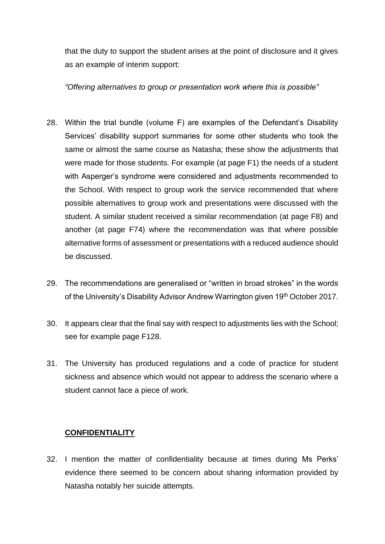that the duty to support the student arises at the point of disclosure and it gives as an example of interim support:

*"Offering alternatives to group or presentation work where this is possible"*

- 28. Within the trial bundle (volume F) are examples of the Defendant's Disability Services' disability support summaries for some other students who took the same or almost the same course as Natasha; these show the adjustments that were made for those students. For example (at page F1) the needs of a student with Asperger's syndrome were considered and adjustments recommended to the School. With respect to group work the service recommended that where possible alternatives to group work and presentations were discussed with the student. A similar student received a similar recommendation (at page F8) and another (at page F74) where the recommendation was that where possible alternative forms of assessment or presentations with a reduced audience should be discussed.
- 29. The recommendations are generalised or "written in broad strokes" in the words of the University's Disability Advisor Andrew Warrington given 19<sup>th</sup> October 2017.
- 30. It appears clear that the final say with respect to adjustments lies with the School; see for example page F128.
- 31. The University has produced regulations and a code of practice for student sickness and absence which would not appear to address the scenario where a student cannot face a piece of work.

## **CONFIDENTIALITY**

32. I mention the matter of confidentiality because at times during Ms Perks' evidence there seemed to be concern about sharing information provided by Natasha notably her suicide attempts.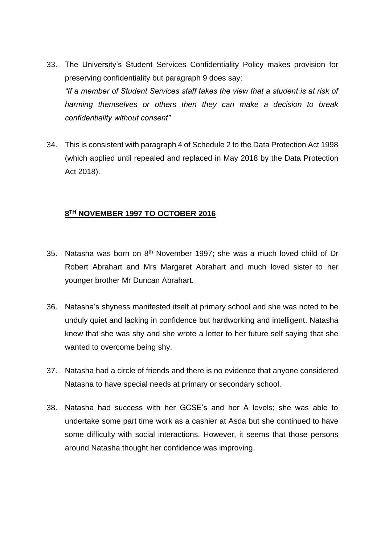- 33. The University's Student Services Confidentiality Policy makes provision for preserving confidentiality but paragraph 9 does say: *"If a member of Student Services staff takes the view that a student is at risk of harming themselves or others then they can make a decision to break confidentiality without consent"*
- 34. This is consistent with paragraph 4 of Schedule 2 to the Data Protection Act 1998 (which applied until repealed and replaced in May 2018 by the Data Protection Act 2018).

#### **8 TH NOVEMBER 1997 TO OCTOBER 2016**

- 35. Natasha was born on 8th November 1997; she was a much loved child of Dr Robert Abrahart and Mrs Margaret Abrahart and much loved sister to her younger brother Mr Duncan Abrahart.
- 36. Natasha's shyness manifested itself at primary school and she was noted to be unduly quiet and lacking in confidence but hardworking and intelligent. Natasha knew that she was shy and she wrote a letter to her future self saying that she wanted to overcome being shy.
- 37. Natasha had a circle of friends and there is no evidence that anyone considered Natasha to have special needs at primary or secondary school.
- 38. Natasha had success with her GCSE's and her A levels; she was able to undertake some part time work as a cashier at Asda but she continued to have some difficulty with social interactions. However, it seems that those persons around Natasha thought her confidence was improving.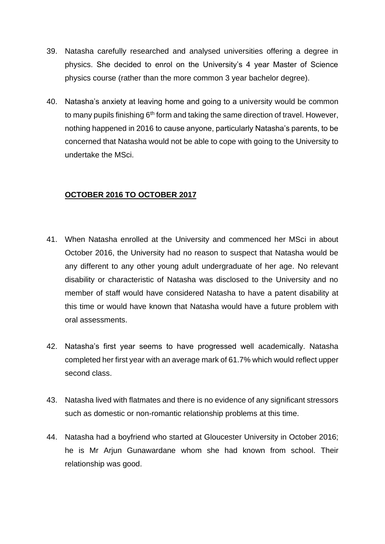- 39. Natasha carefully researched and analysed universities offering a degree in physics. She decided to enrol on the University's 4 year Master of Science physics course (rather than the more common 3 year bachelor degree).
- 40. Natasha's anxiety at leaving home and going to a university would be common to many pupils finishing  $6<sup>th</sup>$  form and taking the same direction of travel. However, nothing happened in 2016 to cause anyone, particularly Natasha's parents, to be concerned that Natasha would not be able to cope with going to the University to undertake the MSci.

## **OCTOBER 2016 TO OCTOBER 2017**

- 41. When Natasha enrolled at the University and commenced her MSci in about October 2016, the University had no reason to suspect that Natasha would be any different to any other young adult undergraduate of her age. No relevant disability or characteristic of Natasha was disclosed to the University and no member of staff would have considered Natasha to have a patent disability at this time or would have known that Natasha would have a future problem with oral assessments.
- 42. Natasha's first year seems to have progressed well academically. Natasha completed her first year with an average mark of 61.7% which would reflect upper second class.
- 43. Natasha lived with flatmates and there is no evidence of any significant stressors such as domestic or non-romantic relationship problems at this time.
- 44. Natasha had a boyfriend who started at Gloucester University in October 2016; he is Mr Ariun Gunawardane whom she had known from school. Their relationship was good.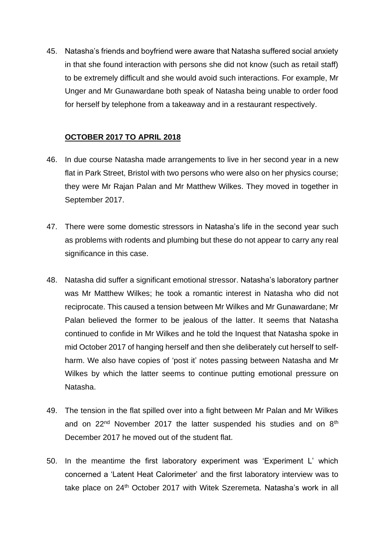45. Natasha's friends and boyfriend were aware that Natasha suffered social anxiety in that she found interaction with persons she did not know (such as retail staff) to be extremely difficult and she would avoid such interactions. For example, Mr Unger and Mr Gunawardane both speak of Natasha being unable to order food for herself by telephone from a takeaway and in a restaurant respectively.

## **OCTOBER 2017 TO APRIL 2018**

- 46. In due course Natasha made arrangements to live in her second year in a new flat in Park Street, Bristol with two persons who were also on her physics course; they were Mr Rajan Palan and Mr Matthew Wilkes. They moved in together in September 2017.
- 47. There were some domestic stressors in Natasha's life in the second year such as problems with rodents and plumbing but these do not appear to carry any real significance in this case.
- 48. Natasha did suffer a significant emotional stressor. Natasha's laboratory partner was Mr Matthew Wilkes; he took a romantic interest in Natasha who did not reciprocate. This caused a tension between Mr Wilkes and Mr Gunawardane; Mr Palan believed the former to be jealous of the latter. It seems that Natasha continued to confide in Mr Wilkes and he told the Inquest that Natasha spoke in mid October 2017 of hanging herself and then she deliberately cut herself to selfharm. We also have copies of 'post it' notes passing between Natasha and Mr Wilkes by which the latter seems to continue putting emotional pressure on Natasha.
- 49. The tension in the flat spilled over into a fight between Mr Palan and Mr Wilkes and on 22<sup>nd</sup> November 2017 the latter suspended his studies and on 8<sup>th</sup> December 2017 he moved out of the student flat.
- 50. In the meantime the first laboratory experiment was 'Experiment L' which concerned a 'Latent Heat Calorimeter' and the first laboratory interview was to take place on 24<sup>th</sup> October 2017 with Witek Szeremeta. Natasha's work in all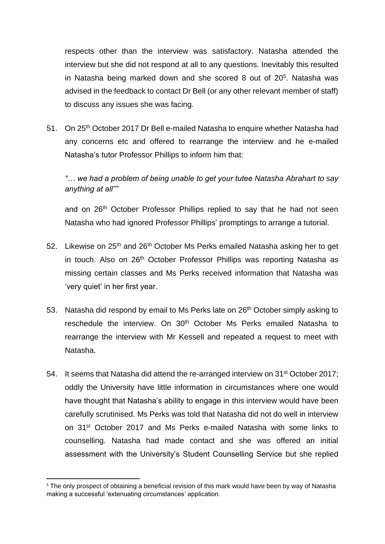respects other than the interview was satisfactory. Natasha attended the interview but she did not respond at all to any questions. Inevitably this resulted in Natasha being marked down and she scored 8 out of 20<sup>5</sup>. Natasha was advised in the feedback to contact Dr Bell (or any other relevant member of staff) to discuss any issues she was facing.

51. On 25<sup>th</sup> October 2017 Dr Bell e-mailed Natasha to enquire whether Natasha had any concerns etc and offered to rearrange the interview and he e-mailed Natasha's tutor Professor Phillips to inform him that:

*"… we had a problem of being unable to get your tutee Natasha Abrahart to say anything at all""*

and on 26<sup>th</sup> October Professor Phillips replied to say that he had not seen Natasha who had ignored Professor Phillips' promptings to arrange a tutorial.

- 52. Likewise on 25<sup>th</sup> and 26<sup>th</sup> October Ms Perks emailed Natasha asking her to get in touch. Also on 26<sup>th</sup> October Professor Phillips was reporting Natasha as missing certain classes and Ms Perks received information that Natasha was 'very quiet' in her first year.
- 53. Natasha did respond by email to Ms Perks late on 26<sup>th</sup> October simply asking to reschedule the interview. On 30<sup>th</sup> October Ms Perks emailed Natasha to rearrange the interview with Mr Kessell and repeated a request to meet with Natasha.
- 54. It seems that Natasha did attend the re-arranged interview on 31st October 2017; oddly the University have little information in circumstances where one would have thought that Natasha's ability to engage in this interview would have been carefully scrutinised. Ms Perks was told that Natasha did not do well in interview on 31st October 2017 and Ms Perks e-mailed Natasha with some links to counselling. Natasha had made contact and she was offered an initial assessment with the University's Student Counselling Service but she replied

<sup>&</sup>lt;sup>5</sup> The only prospect of obtaining a beneficial revision of this mark would have been by way of Natasha making a successful 'extenuating circumstances' application.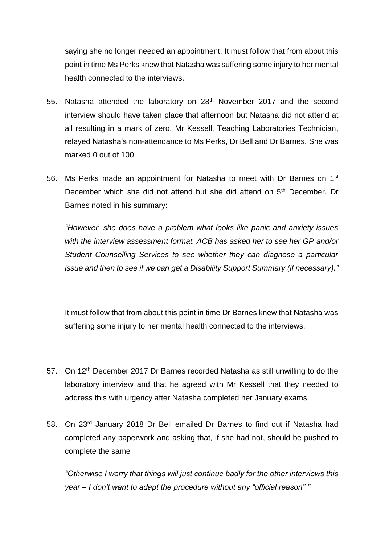saying she no longer needed an appointment. It must follow that from about this point in time Ms Perks knew that Natasha was suffering some injury to her mental health connected to the interviews.

- 55. Natasha attended the laboratory on 28th November 2017 and the second interview should have taken place that afternoon but Natasha did not attend at all resulting in a mark of zero. Mr Kessell, Teaching Laboratories Technician, relayed Natasha's non-attendance to Ms Perks, Dr Bell and Dr Barnes. She was marked 0 out of 100.
- 56. Ms Perks made an appointment for Natasha to meet with Dr Barnes on 1<sup>st</sup> December which she did not attend but she did attend on 5<sup>th</sup> December. Dr Barnes noted in his summary:

*"However, she does have a problem what looks like panic and anxiety issues with the interview assessment format. ACB has asked her to see her GP and/or Student Counselling Services to see whether they can diagnose a particular issue and then to see if we can get a Disability Support Summary (if necessary)."*

It must follow that from about this point in time Dr Barnes knew that Natasha was suffering some injury to her mental health connected to the interviews.

- 57. On 12<sup>th</sup> December 2017 Dr Barnes recorded Natasha as still unwilling to do the laboratory interview and that he agreed with Mr Kessell that they needed to address this with urgency after Natasha completed her January exams.
- 58. On 23rd January 2018 Dr Bell emailed Dr Barnes to find out if Natasha had completed any paperwork and asking that, if she had not, should be pushed to complete the same

*"Otherwise I worry that things will just continue badly for the other interviews this year – I don't want to adapt the procedure without any "official reason"."*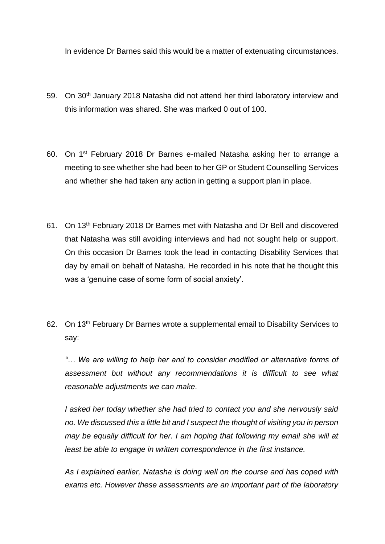In evidence Dr Barnes said this would be a matter of extenuating circumstances.

- 59. On 30<sup>th</sup> January 2018 Natasha did not attend her third laboratory interview and this information was shared. She was marked 0 out of 100.
- 60. On 1st February 2018 Dr Barnes e-mailed Natasha asking her to arrange a meeting to see whether she had been to her GP or Student Counselling Services and whether she had taken any action in getting a support plan in place.
- 61. On 13th February 2018 Dr Barnes met with Natasha and Dr Bell and discovered that Natasha was still avoiding interviews and had not sought help or support. On this occasion Dr Barnes took the lead in contacting Disability Services that day by email on behalf of Natasha. He recorded in his note that he thought this was a 'genuine case of some form of social anxiety'.
- 62. On 13th February Dr Barnes wrote a supplemental email to Disability Services to say:

*"… We are willing to help her and to consider modified or alternative forms of assessment but without any recommendations it is difficult to see what reasonable adjustments we can make.*

*I asked her today whether she had tried to contact you and she nervously said no. We discussed this a little bit and I suspect the thought of visiting you in person may be equally difficult for her. I am hoping that following my email she will at least be able to engage in written correspondence in the first instance.*

*As I explained earlier, Natasha is doing well on the course and has coped with exams etc. However these assessments are an important part of the laboratory*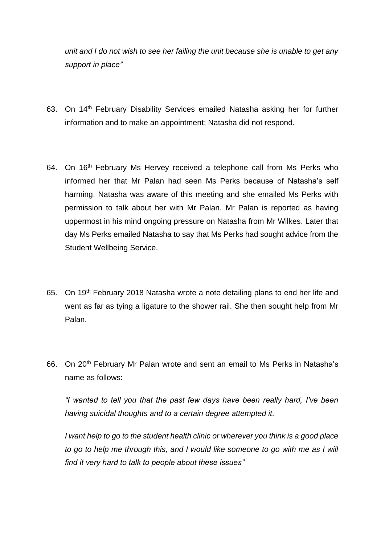*unit and I do not wish to see her failing the unit because she is unable to get any support in place"*

- 63. On 14<sup>th</sup> February Disability Services emailed Natasha asking her for further information and to make an appointment; Natasha did not respond.
- 64. On 16<sup>th</sup> February Ms Hervey received a telephone call from Ms Perks who informed her that Mr Palan had seen Ms Perks because of Natasha's self harming. Natasha was aware of this meeting and she emailed Ms Perks with permission to talk about her with Mr Palan. Mr Palan is reported as having uppermost in his mind ongoing pressure on Natasha from Mr Wilkes. Later that day Ms Perks emailed Natasha to say that Ms Perks had sought advice from the Student Wellbeing Service.
- 65. On 19th February 2018 Natasha wrote a note detailing plans to end her life and went as far as tying a ligature to the shower rail. She then sought help from Mr Palan.
- 66. On 20th February Mr Palan wrote and sent an email to Ms Perks in Natasha's name as follows:

*"I wanted to tell you that the past few days have been really hard, I've been having suicidal thoughts and to a certain degree attempted it.*

*I want help to go to the student health clinic or wherever you think is a good place*  to go to help me through this, and I would like someone to go with me as I will *find it very hard to talk to people about these issues"*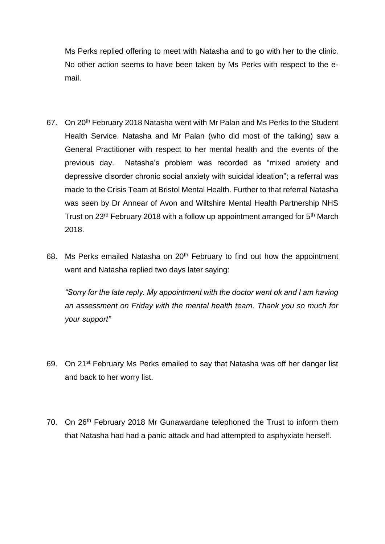Ms Perks replied offering to meet with Natasha and to go with her to the clinic. No other action seems to have been taken by Ms Perks with respect to the email.

- 67. On 20<sup>th</sup> February 2018 Natasha went with Mr Palan and Ms Perks to the Student Health Service. Natasha and Mr Palan (who did most of the talking) saw a General Practitioner with respect to her mental health and the events of the previous day. Natasha's problem was recorded as "mixed anxiety and depressive disorder chronic social anxiety with suicidal ideation"; a referral was made to the Crisis Team at Bristol Mental Health. Further to that referral Natasha was seen by Dr Annear of Avon and Wiltshire Mental Health Partnership NHS Trust on 23rd February 2018 with a follow up appointment arranged for 5th March 2018.
- 68. Ms Perks emailed Natasha on 20<sup>th</sup> February to find out how the appointment went and Natasha replied two days later saying:

*"Sorry for the late reply. My appointment with the doctor went ok and I am having an assessment on Friday with the mental health team. Thank you so much for your support"*

- 69. On 21st February Ms Perks emailed to say that Natasha was off her danger list and back to her worry list.
- 70. On 26<sup>th</sup> February 2018 Mr Gunawardane telephoned the Trust to inform them that Natasha had had a panic attack and had attempted to asphyxiate herself.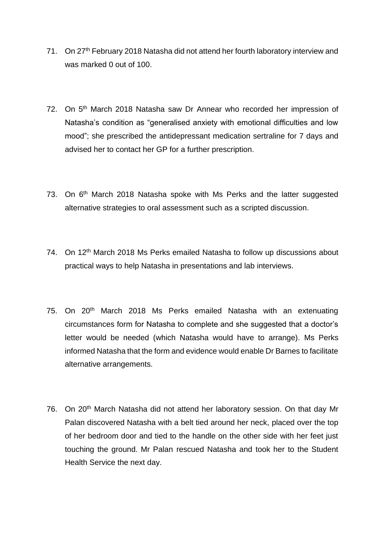- 71. On 27th February 2018 Natasha did not attend her fourth laboratory interview and was marked 0 out of 100.
- 72. On 5<sup>th</sup> March 2018 Natasha saw Dr Annear who recorded her impression of Natasha's condition as "generalised anxiety with emotional difficulties and low mood"; she prescribed the antidepressant medication sertraline for 7 days and advised her to contact her GP for a further prescription.
- 73. On 6<sup>th</sup> March 2018 Natasha spoke with Ms Perks and the latter suggested alternative strategies to oral assessment such as a scripted discussion.
- 74. On 12<sup>th</sup> March 2018 Ms Perks emailed Natasha to follow up discussions about practical ways to help Natasha in presentations and lab interviews.
- 75. On 20<sup>th</sup> March 2018 Ms Perks emailed Natasha with an extenuating circumstances form for Natasha to complete and she suggested that a doctor's letter would be needed (which Natasha would have to arrange). Ms Perks informed Natasha that the form and evidence would enable Dr Barnes to facilitate alternative arrangements.
- 76. On 20<sup>th</sup> March Natasha did not attend her laboratory session. On that day Mr Palan discovered Natasha with a belt tied around her neck, placed over the top of her bedroom door and tied to the handle on the other side with her feet just touching the ground. Mr Palan rescued Natasha and took her to the Student Health Service the next day.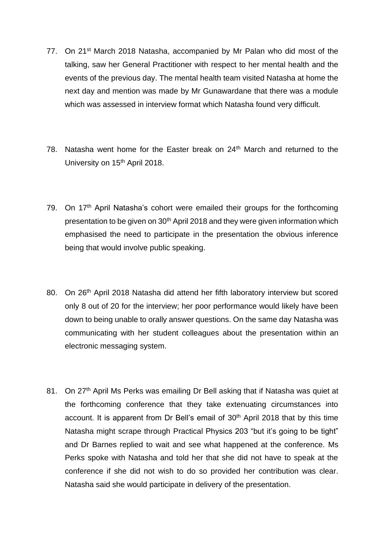- 77. On 21<sup>st</sup> March 2018 Natasha, accompanied by Mr Palan who did most of the talking, saw her General Practitioner with respect to her mental health and the events of the previous day. The mental health team visited Natasha at home the next day and mention was made by Mr Gunawardane that there was a module which was assessed in interview format which Natasha found very difficult.
- 78. Natasha went home for the Easter break on 24<sup>th</sup> March and returned to the University on 15<sup>th</sup> April 2018.
- 79. On  $17<sup>th</sup>$  April Natasha's cohort were emailed their groups for the forthcoming presentation to be given on 30<sup>th</sup> April 2018 and they were given information which emphasised the need to participate in the presentation the obvious inference being that would involve public speaking.
- 80. On 26<sup>th</sup> April 2018 Natasha did attend her fifth laboratory interview but scored only 8 out of 20 for the interview; her poor performance would likely have been down to being unable to orally answer questions. On the same day Natasha was communicating with her student colleagues about the presentation within an electronic messaging system.
- 81. On 27<sup>th</sup> April Ms Perks was emailing Dr Bell asking that if Natasha was quiet at the forthcoming conference that they take extenuating circumstances into account. It is apparent from Dr Bell's email of 30<sup>th</sup> April 2018 that by this time Natasha might scrape through Practical Physics 203 "but it's going to be tight" and Dr Barnes replied to wait and see what happened at the conference. Ms Perks spoke with Natasha and told her that she did not have to speak at the conference if she did not wish to do so provided her contribution was clear. Natasha said she would participate in delivery of the presentation.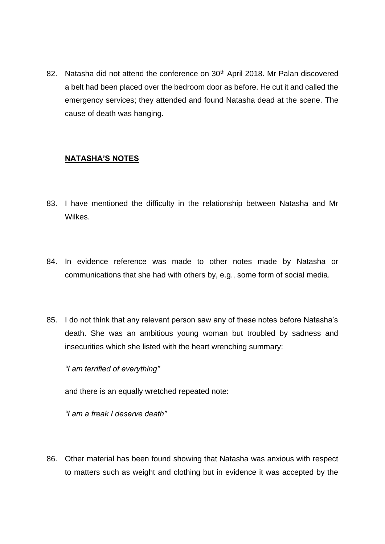82. Natasha did not attend the conference on 30<sup>th</sup> April 2018. Mr Palan discovered a belt had been placed over the bedroom door as before. He cut it and called the emergency services; they attended and found Natasha dead at the scene. The cause of death was hanging.

## **NATASHA'S NOTES**

- 83. I have mentioned the difficulty in the relationship between Natasha and Mr Wilkes.
- 84. In evidence reference was made to other notes made by Natasha or communications that she had with others by, e.g., some form of social media.
- 85. I do not think that any relevant person saw any of these notes before Natasha's death. She was an ambitious young woman but troubled by sadness and insecurities which she listed with the heart wrenching summary:

*"I am terrified of everything"*

and there is an equally wretched repeated note:

*"I am a freak I deserve death"*

86. Other material has been found showing that Natasha was anxious with respect to matters such as weight and clothing but in evidence it was accepted by the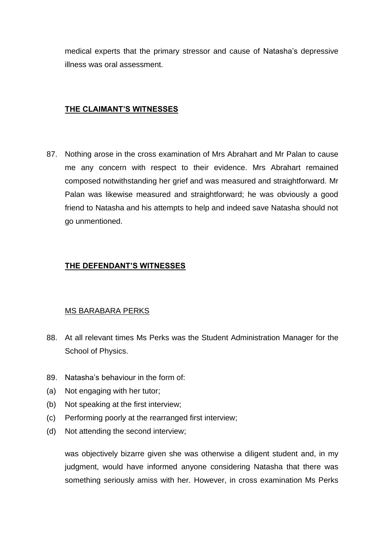medical experts that the primary stressor and cause of Natasha's depressive illness was oral assessment.

## **THE CLAIMANT'S WITNESSES**

87. Nothing arose in the cross examination of Mrs Abrahart and Mr Palan to cause me any concern with respect to their evidence. Mrs Abrahart remained composed notwithstanding her grief and was measured and straightforward. Mr Palan was likewise measured and straightforward; he was obviously a good friend to Natasha and his attempts to help and indeed save Natasha should not go unmentioned.

## **THE DEFENDANT'S WITNESSES**

## MS BARABARA PERKS

- 88. At all relevant times Ms Perks was the Student Administration Manager for the School of Physics.
- 89. Natasha's behaviour in the form of:
- (a) Not engaging with her tutor;
- (b) Not speaking at the first interview;
- (c) Performing poorly at the rearranged first interview;
- (d) Not attending the second interview;

was objectively bizarre given she was otherwise a diligent student and, in my judgment, would have informed anyone considering Natasha that there was something seriously amiss with her. However, in cross examination Ms Perks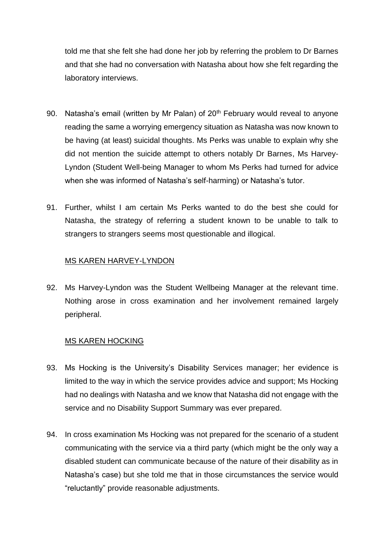told me that she felt she had done her job by referring the problem to Dr Barnes and that she had no conversation with Natasha about how she felt regarding the laboratory interviews.

- 90. Natasha's email (written by Mr Palan) of  $20<sup>th</sup>$  February would reveal to anyone reading the same a worrying emergency situation as Natasha was now known to be having (at least) suicidal thoughts. Ms Perks was unable to explain why she did not mention the suicide attempt to others notably Dr Barnes, Ms Harvey-Lyndon (Student Well-being Manager to whom Ms Perks had turned for advice when she was informed of Natasha's self-harming) or Natasha's tutor.
- 91. Further, whilst I am certain Ms Perks wanted to do the best she could for Natasha, the strategy of referring a student known to be unable to talk to strangers to strangers seems most questionable and illogical.

#### MS KAREN HARVEY-LYNDON

92. Ms Harvey-Lyndon was the Student Wellbeing Manager at the relevant time. Nothing arose in cross examination and her involvement remained largely peripheral.

#### MS KAREN HOCKING

- 93. Ms Hocking is the University's Disability Services manager; her evidence is limited to the way in which the service provides advice and support; Ms Hocking had no dealings with Natasha and we know that Natasha did not engage with the service and no Disability Support Summary was ever prepared.
- 94. In cross examination Ms Hocking was not prepared for the scenario of a student communicating with the service via a third party (which might be the only way a disabled student can communicate because of the nature of their disability as in Natasha's case) but she told me that in those circumstances the service would "reluctantly" provide reasonable adjustments.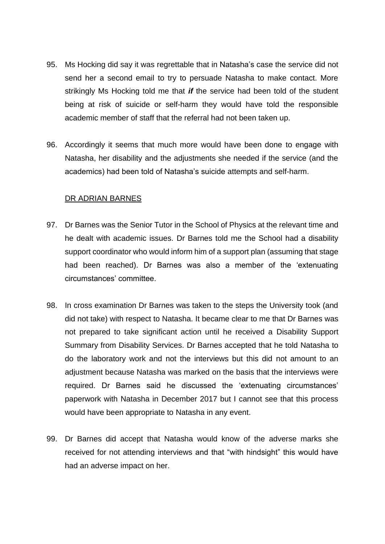- 95. Ms Hocking did say it was regrettable that in Natasha's case the service did not send her a second email to try to persuade Natasha to make contact. More strikingly Ms Hocking told me that *if* the service had been told of the student being at risk of suicide or self-harm they would have told the responsible academic member of staff that the referral had not been taken up.
- 96. Accordingly it seems that much more would have been done to engage with Natasha, her disability and the adjustments she needed if the service (and the academics) had been told of Natasha's suicide attempts and self-harm.

#### DR ADRIAN BARNES

- 97. Dr Barnes was the Senior Tutor in the School of Physics at the relevant time and he dealt with academic issues. Dr Barnes told me the School had a disability support coordinator who would inform him of a support plan (assuming that stage had been reached). Dr Barnes was also a member of the 'extenuating circumstances' committee.
- 98. In cross examination Dr Barnes was taken to the steps the University took (and did not take) with respect to Natasha. It became clear to me that Dr Barnes was not prepared to take significant action until he received a Disability Support Summary from Disability Services. Dr Barnes accepted that he told Natasha to do the laboratory work and not the interviews but this did not amount to an adjustment because Natasha was marked on the basis that the interviews were required. Dr Barnes said he discussed the 'extenuating circumstances' paperwork with Natasha in December 2017 but I cannot see that this process would have been appropriate to Natasha in any event.
- 99. Dr Barnes did accept that Natasha would know of the adverse marks she received for not attending interviews and that "with hindsight" this would have had an adverse impact on her.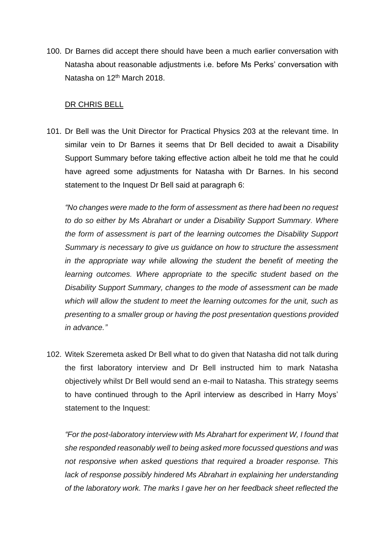100. Dr Barnes did accept there should have been a much earlier conversation with Natasha about reasonable adjustments i.e. before Ms Perks' conversation with Natasha on 12<sup>th</sup> March 2018.

#### DR CHRIS BELL

101. Dr Bell was the Unit Director for Practical Physics 203 at the relevant time. In similar vein to Dr Barnes it seems that Dr Bell decided to await a Disability Support Summary before taking effective action albeit he told me that he could have agreed some adjustments for Natasha with Dr Barnes. In his second statement to the Inquest Dr Bell said at paragraph 6:

*"No changes were made to the form of assessment as there had been no request to do so either by Ms Abrahart or under a Disability Support Summary. Where the form of assessment is part of the learning outcomes the Disability Support Summary is necessary to give us guidance on how to structure the assessment in the appropriate way while allowing the student the benefit of meeting the learning outcomes. Where appropriate to the specific student based on the Disability Support Summary, changes to the mode of assessment can be made which will allow the student to meet the learning outcomes for the unit, such as presenting to a smaller group or having the post presentation questions provided in advance."*

102. Witek Szeremeta asked Dr Bell what to do given that Natasha did not talk during the first laboratory interview and Dr Bell instructed him to mark Natasha objectively whilst Dr Bell would send an e-mail to Natasha. This strategy seems to have continued through to the April interview as described in Harry Moys' statement to the Inquest:

*"For the post-laboratory interview with Ms Abrahart for experiment W, I found that she responded reasonably well to being asked more focussed questions and was not responsive when asked questions that required a broader response. This*  lack of response possibly hindered Ms Abrahart in explaining her understanding *of the laboratory work. The marks I gave her on her feedback sheet reflected the*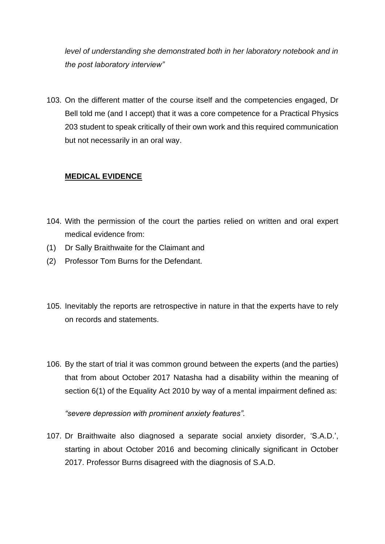*level of understanding she demonstrated both in her laboratory notebook and in the post laboratory interview"*

103. On the different matter of the course itself and the competencies engaged, Dr Bell told me (and I accept) that it was a core competence for a Practical Physics 203 student to speak critically of their own work and this required communication but not necessarily in an oral way.

## **MEDICAL EVIDENCE**

- 104. With the permission of the court the parties relied on written and oral expert medical evidence from:
- (1) Dr Sally Braithwaite for the Claimant and
- (2) Professor Tom Burns for the Defendant.
- 105. Inevitably the reports are retrospective in nature in that the experts have to rely on records and statements.
- 106. By the start of trial it was common ground between the experts (and the parties) that from about October 2017 Natasha had a disability within the meaning of section 6(1) of the Equality Act 2010 by way of a mental impairment defined as:

*"severe depression with prominent anxiety features".*

107. Dr Braithwaite also diagnosed a separate social anxiety disorder, 'S.A.D.', starting in about October 2016 and becoming clinically significant in October 2017. Professor Burns disagreed with the diagnosis of S.A.D.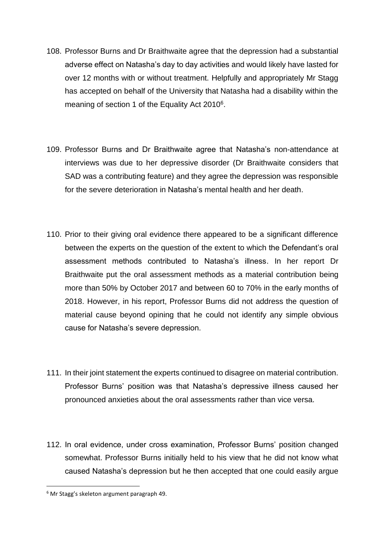- 108. Professor Burns and Dr Braithwaite agree that the depression had a substantial adverse effect on Natasha's day to day activities and would likely have lasted for over 12 months with or without treatment. Helpfully and appropriately Mr Stagg has accepted on behalf of the University that Natasha had a disability within the meaning of section 1 of the Equality Act 2010<sup>6</sup>.
- 109. Professor Burns and Dr Braithwaite agree that Natasha's non-attendance at interviews was due to her depressive disorder (Dr Braithwaite considers that SAD was a contributing feature) and they agree the depression was responsible for the severe deterioration in Natasha's mental health and her death.
- 110. Prior to their giving oral evidence there appeared to be a significant difference between the experts on the question of the extent to which the Defendant's oral assessment methods contributed to Natasha's illness. In her report Dr Braithwaite put the oral assessment methods as a material contribution being more than 50% by October 2017 and between 60 to 70% in the early months of 2018. However, in his report, Professor Burns did not address the question of material cause beyond opining that he could not identify any simple obvious cause for Natasha's severe depression.
- 111. In their joint statement the experts continued to disagree on material contribution. Professor Burns' position was that Natasha's depressive illness caused her pronounced anxieties about the oral assessments rather than vice versa.
- 112. In oral evidence, under cross examination, Professor Burns' position changed somewhat. Professor Burns initially held to his view that he did not know what caused Natasha's depression but he then accepted that one could easily argue

<sup>6</sup> Mr Stagg's skeleton argument paragraph 49.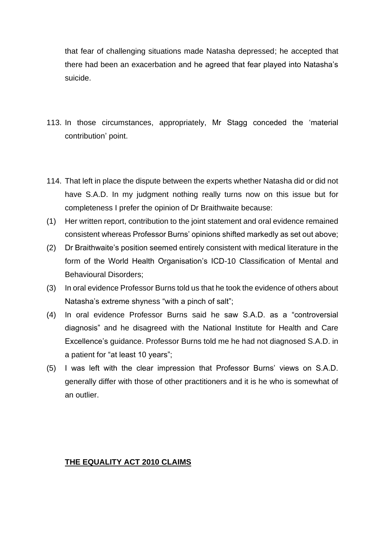that fear of challenging situations made Natasha depressed; he accepted that there had been an exacerbation and he agreed that fear played into Natasha's suicide.

- 113. In those circumstances, appropriately, Mr Stagg conceded the 'material contribution' point.
- 114. That left in place the dispute between the experts whether Natasha did or did not have S.A.D. In my judgment nothing really turns now on this issue but for completeness I prefer the opinion of Dr Braithwaite because:
- (1) Her written report, contribution to the joint statement and oral evidence remained consistent whereas Professor Burns' opinions shifted markedly as set out above;
- (2) Dr Braithwaite's position seemed entirely consistent with medical literature in the form of the World Health Organisation's ICD-10 Classification of Mental and Behavioural Disorders;
- (3) In oral evidence Professor Burns told us that he took the evidence of others about Natasha's extreme shyness "with a pinch of salt";
- (4) In oral evidence Professor Burns said he saw S.A.D. as a "controversial diagnosis" and he disagreed with the National Institute for Health and Care Excellence's guidance. Professor Burns told me he had not diagnosed S.A.D. in a patient for "at least 10 years";
- (5) I was left with the clear impression that Professor Burns' views on S.A.D. generally differ with those of other practitioners and it is he who is somewhat of an outlier.

#### **THE EQUALITY ACT 2010 CLAIMS**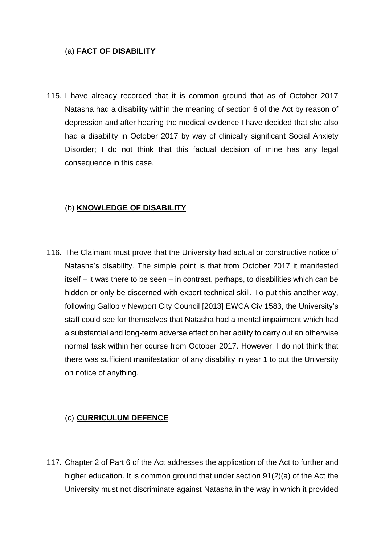## (a) **FACT OF DISABILITY**

115. I have already recorded that it is common ground that as of October 2017 Natasha had a disability within the meaning of section 6 of the Act by reason of depression and after hearing the medical evidence I have decided that she also had a disability in October 2017 by way of clinically significant Social Anxiety Disorder; I do not think that this factual decision of mine has any legal consequence in this case.

## (b) **KNOWLEDGE OF DISABILITY**

116. The Claimant must prove that the University had actual or constructive notice of Natasha's disability. The simple point is that from October 2017 it manifested itself – it was there to be seen – in contrast, perhaps, to disabilities which can be hidden or only be discerned with expert technical skill. To put this another way, following Gallop v Newport City Council [2013] EWCA Civ 1583, the University's staff could see for themselves that Natasha had a mental impairment which had a substantial and long-term adverse effect on her ability to carry out an otherwise normal task within her course from October 2017. However, I do not think that there was sufficient manifestation of any disability in year 1 to put the University on notice of anything.

## (c) **CURRICULUM DEFENCE**

117. Chapter 2 of Part 6 of the Act addresses the application of the Act to further and higher education. It is common ground that under section 91(2)(a) of the Act the University must not discriminate against Natasha in the way in which it provided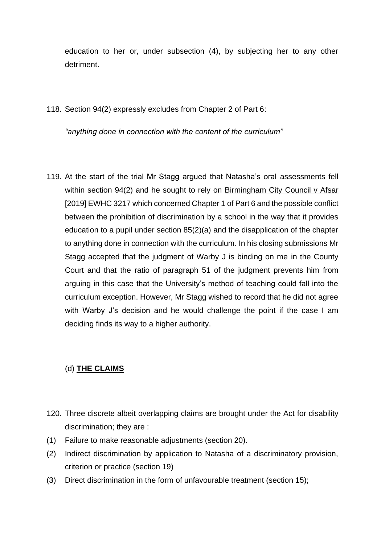education to her or, under subsection (4), by subjecting her to any other detriment.

118. Section 94(2) expressly excludes from Chapter 2 of Part 6:

*"anything done in connection with the content of the curriculum"*

119. At the start of the trial Mr Stagg argued that Natasha's oral assessments fell within section 94(2) and he sought to rely on Birmingham City Council v Afsar [2019] EWHC 3217 which concerned Chapter 1 of Part 6 and the possible conflict between the prohibition of discrimination by a school in the way that it provides education to a pupil under section 85(2)(a) and the disapplication of the chapter to anything done in connection with the curriculum. In his closing submissions Mr Stagg accepted that the judgment of Warby J is binding on me in the County Court and that the ratio of paragraph 51 of the judgment prevents him from arguing in this case that the University's method of teaching could fall into the curriculum exception. However, Mr Stagg wished to record that he did not agree with Warby J's decision and he would challenge the point if the case I am deciding finds its way to a higher authority.

## (d) **THE CLAIMS**

- 120. Three discrete albeit overlapping claims are brought under the Act for disability discrimination; they are :
- (1) Failure to make reasonable adjustments (section 20).
- (2) Indirect discrimination by application to Natasha of a discriminatory provision, criterion or practice (section 19)
- (3) Direct discrimination in the form of unfavourable treatment (section 15);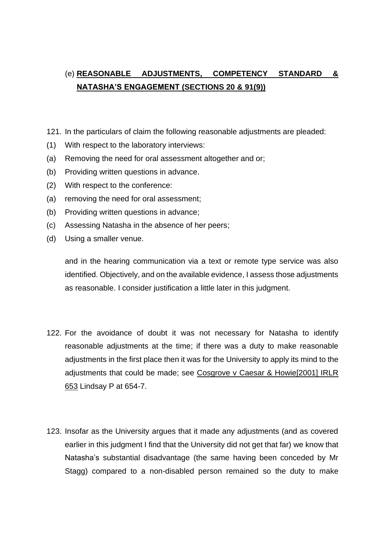# (e) **REASONABLE ADJUSTMENTS, COMPETENCY STANDARD & NATASHA'S ENGAGEMENT (SECTIONS 20 & 91(9))**

- 121. In the particulars of claim the following reasonable adjustments are pleaded:
- (1) With respect to the laboratory interviews:
- (a) Removing the need for oral assessment altogether and or;
- (b) Providing written questions in advance.
- (2) With respect to the conference:
- (a) removing the need for oral assessment;
- (b) Providing written questions in advance;
- (c) Assessing Natasha in the absence of her peers;
- (d) Using a smaller venue.

and in the hearing communication via a text or remote type service was also identified. Objectively, and on the available evidence, I assess those adjustments as reasonable. I consider justification a little later in this judgment.

- 122. For the avoidance of doubt it was not necessary for Natasha to identify reasonable adjustments at the time; if there was a duty to make reasonable adjustments in the first place then it was for the University to apply its mind to the adjustments that could be made; see Cosgrove v Caesar & Howie[2001] IRLR 653 Lindsay P at 654-7.
- 123. Insofar as the University argues that it made any adjustments (and as covered earlier in this judgment I find that the University did not get that far) we know that Natasha's substantial disadvantage (the same having been conceded by Mr Stagg) compared to a non-disabled person remained so the duty to make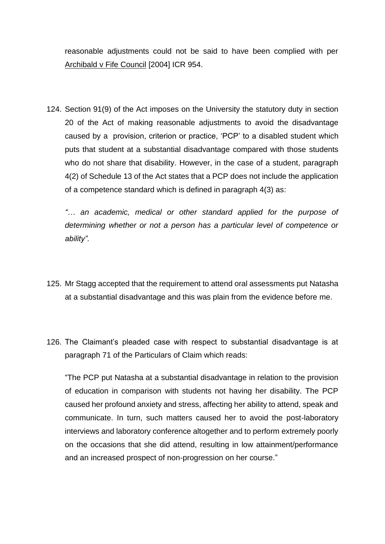reasonable adjustments could not be said to have been complied with per Archibald v Fife Council [2004] ICR 954.

124. Section 91(9) of the Act imposes on the University the statutory duty in section 20 of the Act of making reasonable adjustments to avoid the disadvantage caused by a provision, criterion or practice, 'PCP' to a disabled student which puts that student at a substantial disadvantage compared with those students who do not share that disability. However, in the case of a student, paragraph 4(2) of Schedule 13 of the Act states that a PCP does not include the application of a competence standard which is defined in paragraph 4(3) as:

*"… an academic, medical or other standard applied for the purpose of determining whether or not a person has a particular level of competence or ability".*

- 125. Mr Stagg accepted that the requirement to attend oral assessments put Natasha at a substantial disadvantage and this was plain from the evidence before me.
- 126. The Claimant's pleaded case with respect to substantial disadvantage is at paragraph 71 of the Particulars of Claim which reads:

"The PCP put Natasha at a substantial disadvantage in relation to the provision of education in comparison with students not having her disability. The PCP caused her profound anxiety and stress, affecting her ability to attend, speak and communicate. In turn, such matters caused her to avoid the post-laboratory interviews and laboratory conference altogether and to perform extremely poorly on the occasions that she did attend, resulting in low attainment/performance and an increased prospect of non-progression on her course."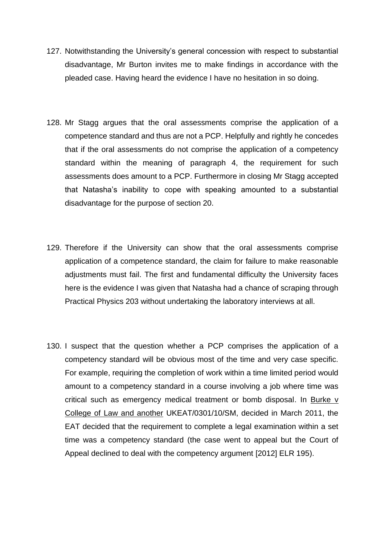- 127. Notwithstanding the University's general concession with respect to substantial disadvantage, Mr Burton invites me to make findings in accordance with the pleaded case. Having heard the evidence I have no hesitation in so doing.
- 128. Mr Stagg argues that the oral assessments comprise the application of a competence standard and thus are not a PCP. Helpfully and rightly he concedes that if the oral assessments do not comprise the application of a competency standard within the meaning of paragraph 4, the requirement for such assessments does amount to a PCP. Furthermore in closing Mr Stagg accepted that Natasha's inability to cope with speaking amounted to a substantial disadvantage for the purpose of section 20.
- 129. Therefore if the University can show that the oral assessments comprise application of a competence standard, the claim for failure to make reasonable adjustments must fail. The first and fundamental difficulty the University faces here is the evidence I was given that Natasha had a chance of scraping through Practical Physics 203 without undertaking the laboratory interviews at all.
- 130. I suspect that the question whether a PCP comprises the application of a competency standard will be obvious most of the time and very case specific. For example, requiring the completion of work within a time limited period would amount to a competency standard in a course involving a job where time was critical such as emergency medical treatment or bomb disposal. In Burke v College of Law and another UKEAT/0301/10/SM, decided in March 2011, the EAT decided that the requirement to complete a legal examination within a set time was a competency standard (the case went to appeal but the Court of Appeal declined to deal with the competency argument [2012] ELR 195).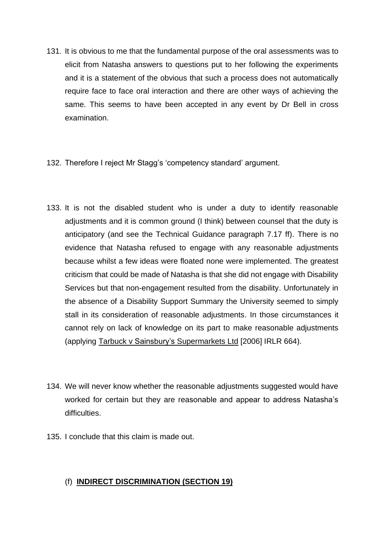- 131. It is obvious to me that the fundamental purpose of the oral assessments was to elicit from Natasha answers to questions put to her following the experiments and it is a statement of the obvious that such a process does not automatically require face to face oral interaction and there are other ways of achieving the same. This seems to have been accepted in any event by Dr Bell in cross examination.
- 132. Therefore I reject Mr Stagg's 'competency standard' argument.
- 133. It is not the disabled student who is under a duty to identify reasonable adjustments and it is common ground (I think) between counsel that the duty is anticipatory (and see the Technical Guidance paragraph 7.17 ff). There is no evidence that Natasha refused to engage with any reasonable adjustments because whilst a few ideas were floated none were implemented. The greatest criticism that could be made of Natasha is that she did not engage with Disability Services but that non-engagement resulted from the disability. Unfortunately in the absence of a Disability Support Summary the University seemed to simply stall in its consideration of reasonable adjustments. In those circumstances it cannot rely on lack of knowledge on its part to make reasonable adjustments (applying Tarbuck v Sainsbury's Supermarkets Ltd [2006] IRLR 664).
- 134. We will never know whether the reasonable adjustments suggested would have worked for certain but they are reasonable and appear to address Natasha's difficulties.
- 135. I conclude that this claim is made out.

## (f) **INDIRECT DISCRIMINATION (SECTION 19)**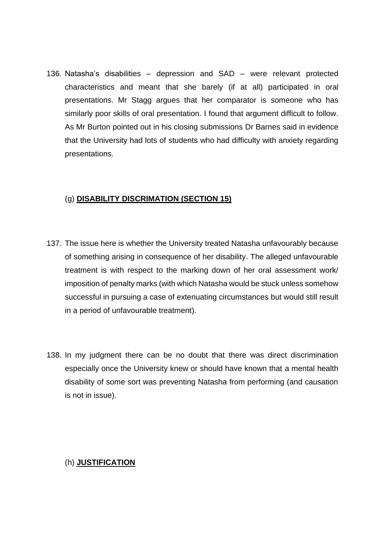136. Natasha's disabilities – depression and SAD – were relevant protected characteristics and meant that she barely (if at all) participated in oral presentations. Mr Stagg argues that her comparator is someone who has similarly poor skills of oral presentation. I found that argument difficult to follow. As Mr Burton pointed out in his closing submissions Dr Barnes said in evidence that the University had lots of students who had difficulty with anxiety regarding presentations.

## (g) **DISABILITY DISCRIMATION (SECTION 15)**

- 137. The issue here is whether the University treated Natasha unfavourably because of something arising in consequence of her disability. The alleged unfavourable treatment is with respect to the marking down of her oral assessment work/ imposition of penalty marks (with which Natasha would be stuck unless somehow successful in pursuing a case of extenuating circumstances but would still result in a period of unfavourable treatment).
- 138. In my judgment there can be no doubt that there was direct discrimination especially once the University knew or should have known that a mental health disability of some sort was preventing Natasha from performing (and causation is not in issue).

#### (h) **JUSTIFICATION**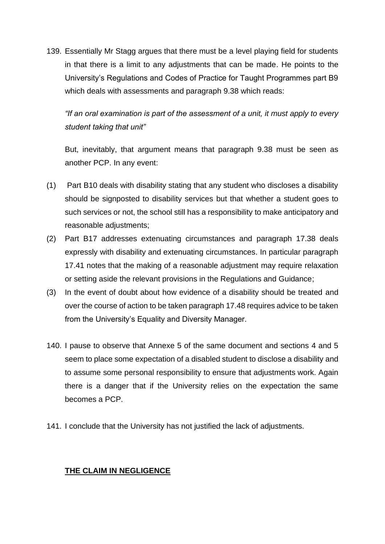139. Essentially Mr Stagg argues that there must be a level playing field for students in that there is a limit to any adjustments that can be made. He points to the University's Regulations and Codes of Practice for Taught Programmes part B9 which deals with assessments and paragraph 9.38 which reads:

*"If an oral examination is part of the assessment of a unit, it must apply to every student taking that unit"*

But, inevitably, that argument means that paragraph 9.38 must be seen as another PCP. In any event:

- (1) Part B10 deals with disability stating that any student who discloses a disability should be signposted to disability services but that whether a student goes to such services or not, the school still has a responsibility to make anticipatory and reasonable adjustments;
- (2) Part B17 addresses extenuating circumstances and paragraph 17.38 deals expressly with disability and extenuating circumstances. In particular paragraph 17.41 notes that the making of a reasonable adjustment may require relaxation or setting aside the relevant provisions in the Regulations and Guidance;
- (3) In the event of doubt about how evidence of a disability should be treated and over the course of action to be taken paragraph 17.48 requires advice to be taken from the University's Equality and Diversity Manager.
- 140. I pause to observe that Annexe 5 of the same document and sections 4 and 5 seem to place some expectation of a disabled student to disclose a disability and to assume some personal responsibility to ensure that adjustments work. Again there is a danger that if the University relies on the expectation the same becomes a PCP.
- 141. I conclude that the University has not justified the lack of adjustments.

#### **THE CLAIM IN NEGLIGENCE**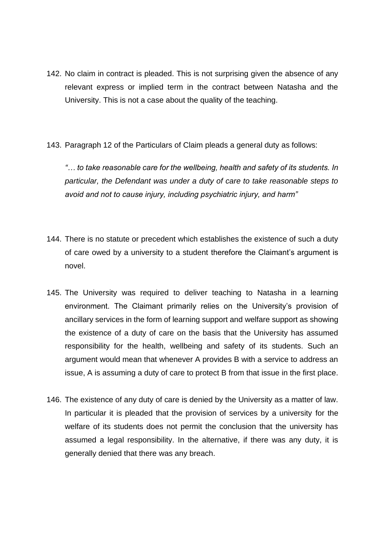- 142. No claim in contract is pleaded. This is not surprising given the absence of any relevant express or implied term in the contract between Natasha and the University. This is not a case about the quality of the teaching.
- 143. Paragraph 12 of the Particulars of Claim pleads a general duty as follows:

*"… to take reasonable care for the wellbeing, health and safety of its students. In particular, the Defendant was under a duty of care to take reasonable steps to avoid and not to cause injury, including psychiatric injury, and harm"*

- 144. There is no statute or precedent which establishes the existence of such a duty of care owed by a university to a student therefore the Claimant's argument is novel.
- 145. The University was required to deliver teaching to Natasha in a learning environment. The Claimant primarily relies on the University's provision of ancillary services in the form of learning support and welfare support as showing the existence of a duty of care on the basis that the University has assumed responsibility for the health, wellbeing and safety of its students. Such an argument would mean that whenever A provides B with a service to address an issue, A is assuming a duty of care to protect B from that issue in the first place.
- 146. The existence of any duty of care is denied by the University as a matter of law. In particular it is pleaded that the provision of services by a university for the welfare of its students does not permit the conclusion that the university has assumed a legal responsibility. In the alternative, if there was any duty, it is generally denied that there was any breach.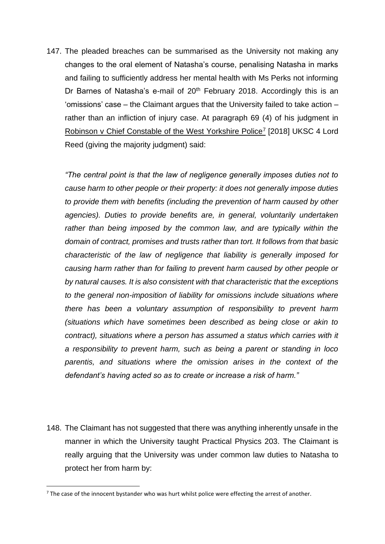147. The pleaded breaches can be summarised as the University not making any changes to the oral element of Natasha's course, penalising Natasha in marks and failing to sufficiently address her mental health with Ms Perks not informing Dr Barnes of Natasha's e-mail of  $20<sup>th</sup>$  February 2018. Accordingly this is an 'omissions' case – the Claimant argues that the University failed to take action – rather than an infliction of injury case. At paragraph 69 (4) of his judgment in Robinson v Chief Constable of the West Yorkshire Police<sup>7</sup> [2018] UKSC 4 Lord Reed (giving the majority judgment) said:

*"The central point is that the law of negligence generally imposes duties not to cause harm to other people or their property: it does not generally impose duties to provide them with benefits (including the prevention of harm caused by other agencies). Duties to provide benefits are, in general, voluntarily undertaken*  rather than being imposed by the common law, and are typically within the *domain of contract, promises and trusts rather than tort. It follows from that basic characteristic of the law of negligence that liability is generally imposed for causing harm rather than for failing to prevent harm caused by other people or by natural causes. It is also consistent with that characteristic that the exceptions to the general non-imposition of liability for omissions include situations where there has been a voluntary assumption of responsibility to prevent harm (situations which have sometimes been described as being close or akin to contract), situations where a person has assumed a status which carries with it a responsibility to prevent harm, such as being a parent or standing in loco parentis, and situations where the omission arises in the context of the defendant's having acted so as to create or increase a risk of harm."*

148. The Claimant has not suggested that there was anything inherently unsafe in the manner in which the University taught Practical Physics 203. The Claimant is really arguing that the University was under common law duties to Natasha to protect her from harm by:

 $7$  The case of the innocent bystander who was hurt whilst police were effecting the arrest of another.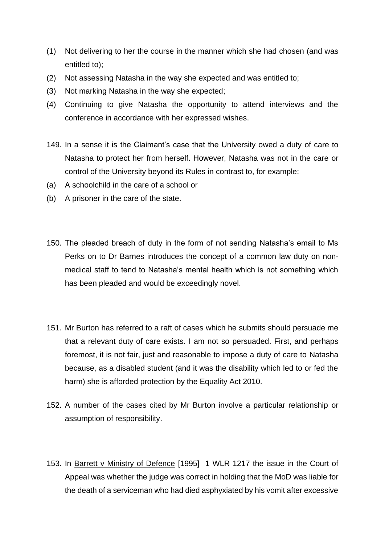- (1) Not delivering to her the course in the manner which she had chosen (and was entitled to);
- (2) Not assessing Natasha in the way she expected and was entitled to;
- (3) Not marking Natasha in the way she expected;
- (4) Continuing to give Natasha the opportunity to attend interviews and the conference in accordance with her expressed wishes.
- 149. In a sense it is the Claimant's case that the University owed a duty of care to Natasha to protect her from herself. However, Natasha was not in the care or control of the University beyond its Rules in contrast to, for example:
- (a) A schoolchild in the care of a school or
- (b) A prisoner in the care of the state.
- 150. The pleaded breach of duty in the form of not sending Natasha's email to Ms Perks on to Dr Barnes introduces the concept of a common law duty on nonmedical staff to tend to Natasha's mental health which is not something which has been pleaded and would be exceedingly novel.
- 151. Mr Burton has referred to a raft of cases which he submits should persuade me that a relevant duty of care exists. I am not so persuaded. First, and perhaps foremost, it is not fair, just and reasonable to impose a duty of care to Natasha because, as a disabled student (and it was the disability which led to or fed the harm) she is afforded protection by the Equality Act 2010.
- 152. A number of the cases cited by Mr Burton involve a particular relationship or assumption of responsibility.
- 153. In Barrett v Ministry of Defence [1995] 1 WLR 1217 the issue in the Court of Appeal was whether the judge was correct in holding that the MoD was liable for the death of a serviceman who had died asphyxiated by his vomit after excessive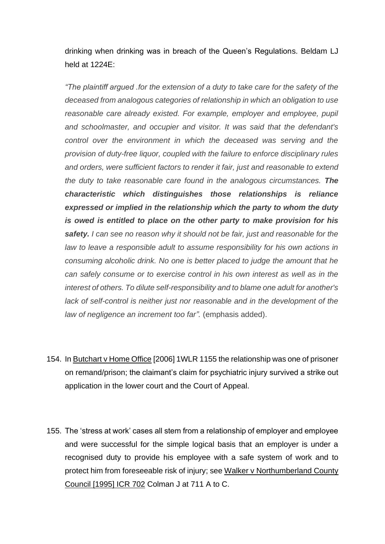drinking when drinking was in breach of the Queen's Regulations. Beldam LJ held at 1224E:

*"The plaintiff argued .for the extension of a duty to take care for the safety of the deceased from analogous categories of relationship in which an obligation to use*  reasonable care already existed. For example, employer and employee, pupil *and schoolmaster, and occupier and visitor. It was said that the defendant's control over the environment in which the deceased was serving and the provision of duty-free liquor, coupled with the failure to enforce disciplinary rules and orders, were sufficient factors to render it fair, just and reasonable to extend the duty to take reasonable care found in the analogous circumstances. The characteristic which distinguishes those relationships is reliance expressed or implied in the relationship which the party to whom the duty is owed is entitled to place on the other party to make provision for his safety. I can see no reason why it should not be fair, just and reasonable for the law to leave a responsible adult to assume responsibility for his own actions in consuming alcoholic drink. No one is better placed to judge the amount that he can safely consume or to exercise control in his own interest as well as in the interest of others. To dilute self-responsibility and to blame one adult for another's*  lack of self-control is neither just nor reasonable and in the development of the *law of negligence an increment too far".* (emphasis added).

- 154. In Butchart v Home Office [2006] 1WLR 1155 the relationship was one of prisoner on remand/prison; the claimant's claim for psychiatric injury survived a strike out application in the lower court and the Court of Appeal.
- 155. The 'stress at work' cases all stem from a relationship of employer and employee and were successful for the simple logical basis that an employer is under a recognised duty to provide his employee with a safe system of work and to protect him from foreseeable risk of injury; see Walker v Northumberland County Council [1995] ICR 702 Colman J at 711 A to C.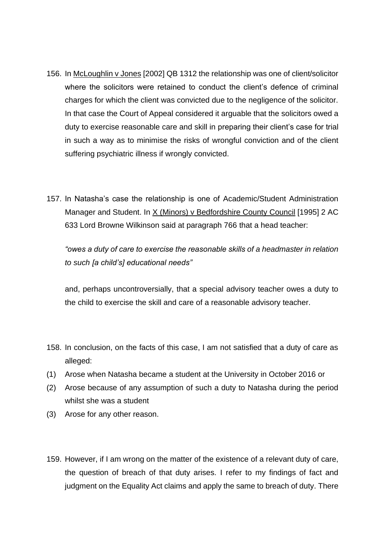- 156. In McLoughlin v Jones [2002] QB 1312 the relationship was one of client/solicitor where the solicitors were retained to conduct the client's defence of criminal charges for which the client was convicted due to the negligence of the solicitor. In that case the Court of Appeal considered it arguable that the solicitors owed a duty to exercise reasonable care and skill in preparing their client's case for trial in such a way as to minimise the risks of wrongful conviction and of the client suffering psychiatric illness if wrongly convicted.
- 157. In Natasha's case the relationship is one of Academic/Student Administration Manager and Student. In X (Minors) v Bedfordshire County Council [1995] 2 AC 633 Lord Browne Wilkinson said at paragraph 766 that a head teacher:

*"owes a duty of care to exercise the reasonable skills of a headmaster in relation to such [a child's] educational needs"*

and, perhaps uncontroversially, that a special advisory teacher owes a duty to the child to exercise the skill and care of a reasonable advisory teacher.

- 158. In conclusion, on the facts of this case, I am not satisfied that a duty of care as alleged:
- (1) Arose when Natasha became a student at the University in October 2016 or
- (2) Arose because of any assumption of such a duty to Natasha during the period whilst she was a student
- (3) Arose for any other reason.
- 159. However, if I am wrong on the matter of the existence of a relevant duty of care, the question of breach of that duty arises. I refer to my findings of fact and judgment on the Equality Act claims and apply the same to breach of duty. There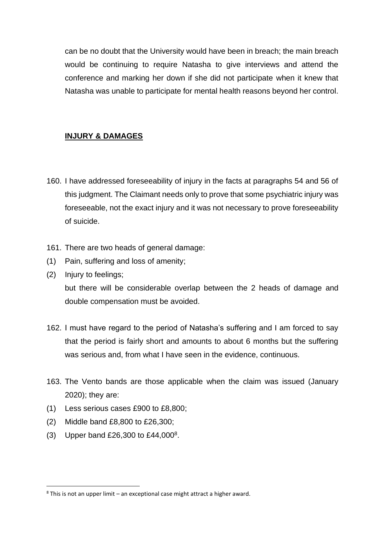can be no doubt that the University would have been in breach; the main breach would be continuing to require Natasha to give interviews and attend the conference and marking her down if she did not participate when it knew that Natasha was unable to participate for mental health reasons beyond her control.

## **INJURY & DAMAGES**

- 160. I have addressed foreseeability of injury in the facts at paragraphs 54 and 56 of this judgment. The Claimant needs only to prove that some psychiatric injury was foreseeable, not the exact injury and it was not necessary to prove foreseeability of suicide.
- 161. There are two heads of general damage:
- (1) Pain, suffering and loss of amenity;
- (2) Injury to feelings;

but there will be considerable overlap between the 2 heads of damage and double compensation must be avoided.

- 162. I must have regard to the period of Natasha's suffering and I am forced to say that the period is fairly short and amounts to about 6 months but the suffering was serious and, from what I have seen in the evidence, continuous.
- 163. The Vento bands are those applicable when the claim was issued (January 2020); they are:
- (1) Less serious cases £900 to £8,800;
- (2) Middle band £8,800 to £26,300;
- (3) Upper band £26,300 to £44,000<sup>8</sup> .

 $8$  This is not an upper limit – an exceptional case might attract a higher award.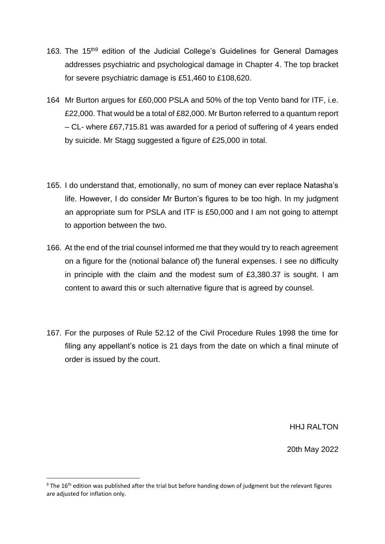- 163. The 15<sup>th9</sup> edition of the Judicial College's Guidelines for General Damages addresses psychiatric and psychological damage in Chapter 4. The top bracket for severe psychiatric damage is £51,460 to £108,620.
- 164 Mr Burton argues for £60,000 PSLA and 50% of the top Vento band for ITF, i.e. £22,000. That would be a total of £82,000. Mr Burton referred to a quantum report – CL- where £67,715.81 was awarded for a period of suffering of 4 years ended by suicide. Mr Stagg suggested a figure of £25,000 in total.
- 165. I do understand that, emotionally, no sum of money can ever replace Natasha's life. However, I do consider Mr Burton's figures to be too high. In my judgment an appropriate sum for PSLA and ITF is £50,000 and I am not going to attempt to apportion between the two.
- 166. At the end of the trial counsel informed me that they would try to reach agreement on a figure for the (notional balance of) the funeral expenses. I see no difficulty in principle with the claim and the modest sum of £3,380.37 is sought. I am content to award this or such alternative figure that is agreed by counsel.
- 167. For the purposes of Rule 52.12 of the Civil Procedure Rules 1998 the time for filing any appellant's notice is 21 days from the date on which a final minute of order is issued by the court.

HHJ RALTON

20th May 2022

<sup>&</sup>lt;sup>9</sup> The 16<sup>th</sup> edition was published after the trial but before handing down of judgment but the relevant figures are adjusted for inflation only.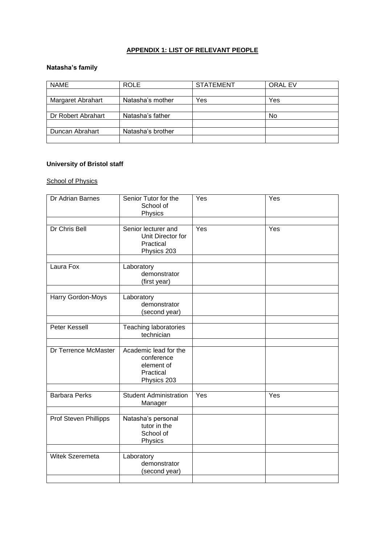## **APPENDIX 1: LIST OF RELEVANT PEOPLE**

#### **Natasha's family**

| <b>NAME</b>        | <b>ROLE</b>       | <b>STATEMENT</b> | <b>ORAL EV</b> |
|--------------------|-------------------|------------------|----------------|
|                    |                   |                  |                |
| Margaret Abrahart  | Natasha's mother  | Yes              | Yes            |
|                    |                   |                  |                |
| Dr Robert Abrahart | Natasha's father  |                  | No             |
|                    |                   |                  |                |
| Duncan Abrahart    | Natasha's brother |                  |                |
|                    |                   |                  |                |

#### **University of Bristol staff**

#### **School of Physics**

| Dr Adrian Barnes      | Senior Tutor for the<br>School of<br>Physics                                  | Yes | Yes |
|-----------------------|-------------------------------------------------------------------------------|-----|-----|
| Dr Chris Bell         | Senior lecturer and<br>Unit Director for<br>Practical<br>Physics 203          | Yes | Yes |
| Laura Fox             | Laboratory<br>demonstrator<br>(first year)                                    |     |     |
| Harry Gordon-Moys     | Laboratory<br>demonstrator<br>(second year)                                   |     |     |
| <b>Peter Kessell</b>  | <b>Teaching laboratories</b><br>technician                                    |     |     |
| Dr Terrence McMaster  | Academic lead for the<br>conference<br>element of<br>Practical<br>Physics 203 |     |     |
| <b>Barbara Perks</b>  | <b>Student Administration</b><br>Manager                                      | Yes | Yes |
| Prof Steven Phillipps | Natasha's personal<br>tutor in the<br>School of<br>Physics                    |     |     |
| Witek Szeremeta       | Laboratory<br>demonstrator<br>(second year)                                   |     |     |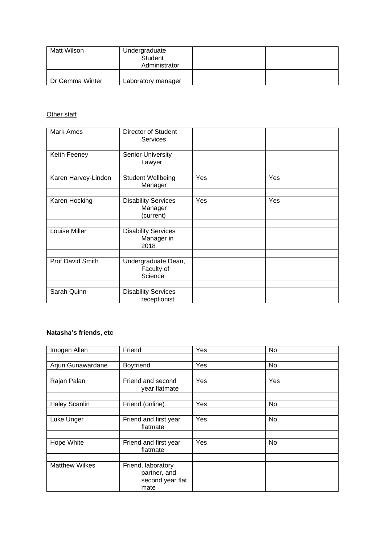| Matt Wilson     | Undergraduate<br>Student<br>Administrator |  |
|-----------------|-------------------------------------------|--|
|                 |                                           |  |
| Dr Gemma Winter | Laboratory manager                        |  |

#### **Other staff**

| Mark Ames           | Director of Student<br><b>Services</b>             |     |     |
|---------------------|----------------------------------------------------|-----|-----|
|                     |                                                    |     |     |
| Keith Feeney        | <b>Senior University</b><br>Lawyer                 |     |     |
|                     |                                                    |     |     |
| Karen Harvey-Lindon | <b>Student Wellbeing</b><br>Manager                | Yes | Yes |
|                     |                                                    |     |     |
| Karen Hocking       | <b>Disability Services</b><br>Manager<br>(current) | Yes | Yes |
|                     |                                                    |     |     |
| Louise Miller       | <b>Disability Services</b><br>Manager in<br>2018   |     |     |
|                     |                                                    |     |     |
| Prof David Smith    | Undergraduate Dean,<br>Faculty of<br>Science       |     |     |
|                     |                                                    |     |     |
| Sarah Quinn         | <b>Disability Services</b><br>receptionist         |     |     |

#### **Natasha's friends, etc**

| Imogen Allen          | Friend                                                         | Yes | No  |
|-----------------------|----------------------------------------------------------------|-----|-----|
|                       |                                                                |     |     |
| Arjun Gunawardane     | Boyfriend                                                      | Yes | No  |
|                       |                                                                |     |     |
| Rajan Palan           | Friend and second<br>year flatmate                             | Yes | Yes |
|                       |                                                                |     |     |
| <b>Haley Scanlin</b>  | Friend (online)                                                | Yes | No  |
|                       |                                                                |     |     |
| Luke Unger            | Friend and first year<br>flatmate                              | Yes | No  |
|                       |                                                                |     |     |
| Hope White            | Friend and first year<br>flatmate                              | Yes | No  |
|                       |                                                                |     |     |
| <b>Matthew Wilkes</b> | Friend, laboratory<br>partner, and<br>second year flat<br>mate |     |     |